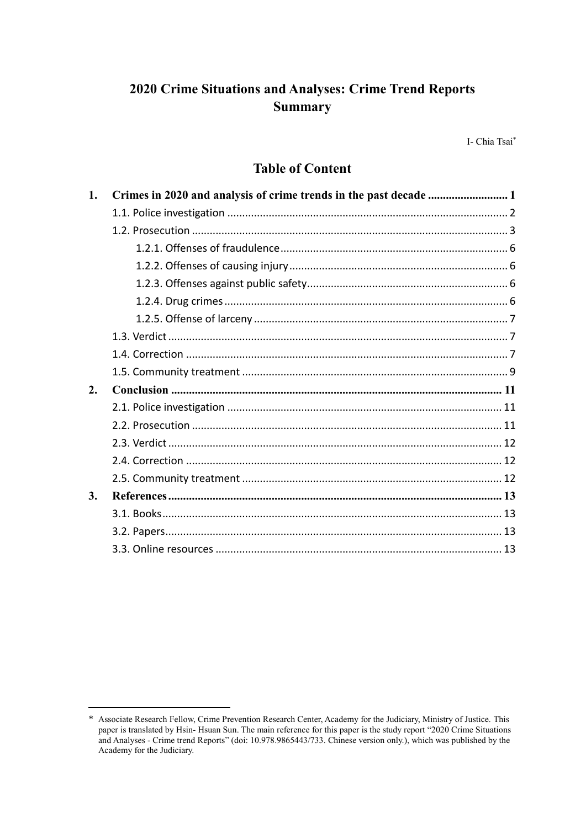# 2020 Crime Situations and Analyses: Crime Trend Reports **Summary**

I- Chia Tsai\*

# **Table of Content**

<sup>\*</sup> Associate Research Fellow, Crime Prevention Research Center, Academy for the Judiciary, Ministry of Justice. This paper is translated by Hsin-Hsuan Sun. The main reference for this paper is the study report "2020 Crime Situations and Analyses - Crime trend Reports" (doi: 10.978.9865443/733. Chinese version only.), which was published by the Academy for the Judiciary.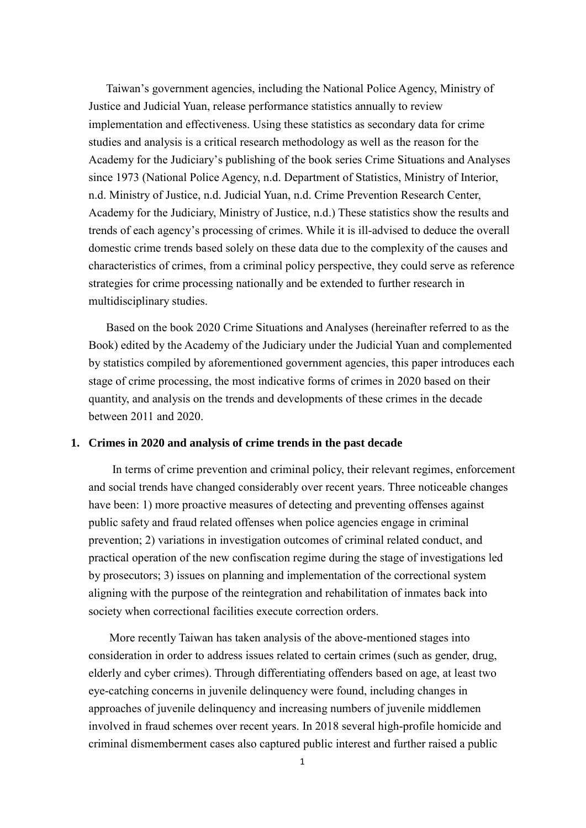Taiwan's government agencies, including the National Police Agency, Ministry of Justice and Judicial Yuan, release performance statistics annually to review implementation and effectiveness. Using these statistics as secondary data for crime studies and analysis is a critical research methodology as well as the reason for the Academy for the Judiciary's publishing of the book series Crime Situations and Analyses since 1973 (National Police Agency, n.d. Department of Statistics, Ministry of Interior, n.d. Ministry of Justice, n.d. Judicial Yuan, n.d. Crime Prevention Research Center, Academy for the Judiciary, Ministry of Justice, n.d.) These statistics show the results and trends of each agency's processing of crimes. While it is ill-advised to deduce the overall domestic crime trends based solely on these data due to the complexity of the causes and characteristics of crimes, from a criminal policy perspective, they could serve as reference strategies for crime processing nationally and be extended to further research in multidisciplinary studies.

Based on the book 2020 Crime Situations and Analyses (hereinafter referred to as the Book) edited by the Academy of the Judiciary under the Judicial Yuan and complemented by statistics compiled by aforementioned government agencies, this paper introduces each stage of crime processing, the most indicative forms of crimes in 2020 based on their quantity, and analysis on the trends and developments of these crimes in the decade between 2011 and 2020.

#### <span id="page-1-0"></span>**1. Crimes in 2020 and analysis of crime trends in the past decade**

In terms of crime prevention and criminal policy, their relevant regimes, enforcement and social trends have changed considerably over recent years. Three noticeable changes have been: 1) more proactive measures of detecting and preventing offenses against public safety and fraud related offenses when police agencies engage in criminal prevention; 2) variations in investigation outcomes of criminal related conduct, and practical operation of the new confiscation regime during the stage of investigations led by prosecutors; 3) issues on planning and implementation of the correctional system aligning with the purpose of the reintegration and rehabilitation of inmates back into society when correctional facilities execute correction orders.

More recently Taiwan has taken analysis of the above-mentioned stages into consideration in order to address issues related to certain crimes (such as gender, drug, elderly and cyber crimes). Through differentiating offenders based on age, at least two eye-catching concerns in juvenile delinquency were found, including changes in approaches of juvenile delinquency and increasing numbers of juvenile middlemen involved in fraud schemes over recent years. In 2018 several high-profile homicide and criminal dismemberment cases also captured public interest and further raised a public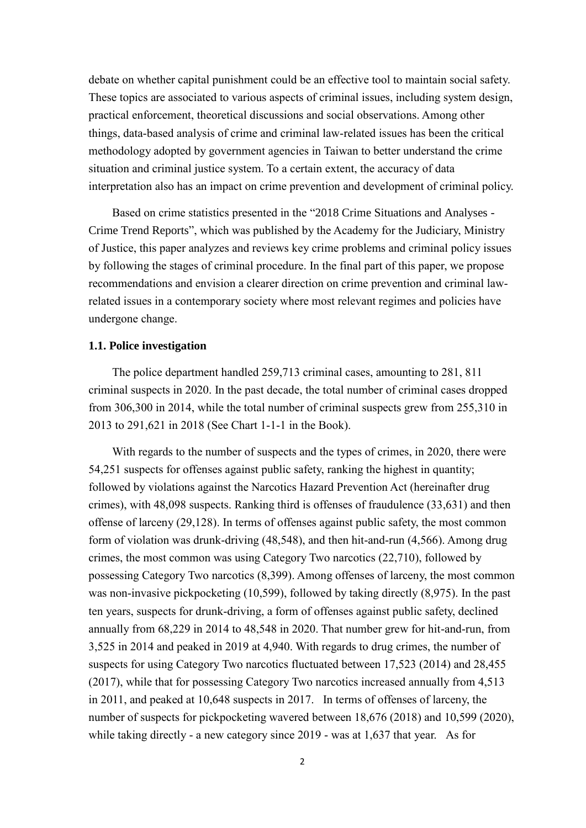debate on whether capital punishment could be an effective tool to maintain social safety. These topics are associated to various aspects of criminal issues, including system design, practical enforcement, theoretical discussions and social observations. Among other things, data-based analysis of crime and criminal law-related issues has been the critical methodology adopted by government agencies in Taiwan to better understand the crime situation and criminal justice system. To a certain extent, the accuracy of data interpretation also has an impact on crime prevention and development of criminal policy.

Based on crime statistics presented in the "2018 Crime Situations and Analyses - Crime Trend Reports", which was published by the Academy for the Judiciary, Ministry of Justice, this paper analyzes and reviews key crime problems and criminal policy issues by following the stages of criminal procedure. In the final part of this paper, we propose recommendations and envision a clearer direction on crime prevention and criminal lawrelated issues in a contemporary society where most relevant regimes and policies have undergone change.

### <span id="page-2-0"></span>**1.1. Police investigation**

The police department handled 259,713 criminal cases, amounting to 281, 811 criminal suspects in 2020. In the past decade, the total number of criminal cases dropped from 306,300 in 2014, while the total number of criminal suspects grew from 255,310 in 2013 to 291,621 in 2018 (See Chart 1-1-1 in the Book).

With regards to the number of suspects and the types of crimes, in 2020, there were 54,251 suspects for offenses against public safety, ranking the highest in quantity; followed by violations against the Narcotics Hazard Prevention Act (hereinafter drug crimes), with 48,098 suspects. Ranking third is offenses of fraudulence (33,631) and then offense of larceny (29,128). In terms of offenses against public safety, the most common form of violation was drunk-driving (48,548), and then hit-and-run (4,566). Among drug crimes, the most common was using Category Two narcotics (22,710), followed by possessing Category Two narcotics (8,399). Among offenses of larceny, the most common was non-invasive pickpocketing (10,599), followed by taking directly (8,975). In the past ten years, suspects for drunk-driving, a form of offenses against public safety, declined annually from 68,229 in 2014 to 48,548 in 2020. That number grew for hit-and-run, from 3,525 in 2014 and peaked in 2019 at 4,940. With regards to drug crimes, the number of suspects for using Category Two narcotics fluctuated between 17,523 (2014) and 28,455 (2017), while that for possessing Category Two narcotics increased annually from 4,513 in 2011, and peaked at 10,648 suspects in 2017. In terms of offenses of larceny, the number of suspects for pickpocketing wavered between 18,676 (2018) and 10,599 (2020), while taking directly - a new category since 2019 - was at 1,637 that year. As for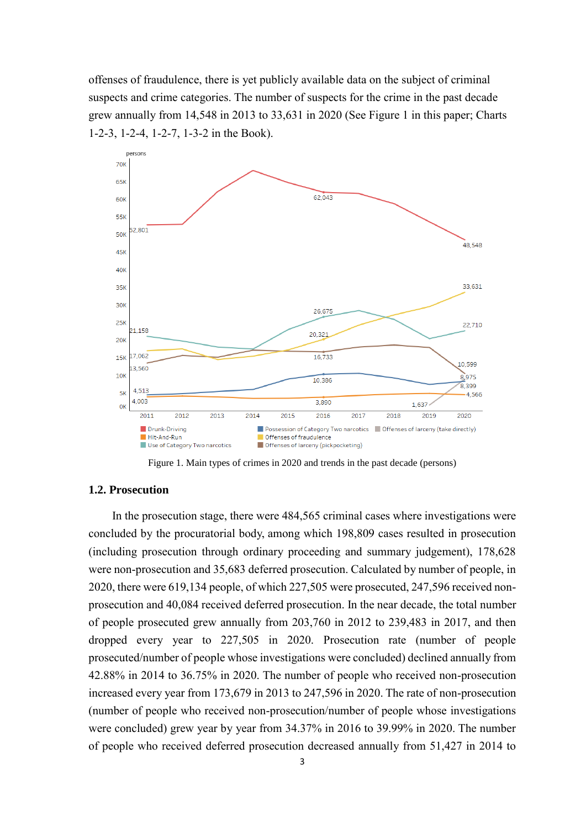offenses of fraudulence, there is yet publicly available data on the subject of criminal suspects and crime categories. The number of suspects for the crime in the past decade grew annually from 14,548 in 2013 to 33,631 in 2020 (See Figure 1 in this paper; Charts 1-2-3, 1-2-4, 1-2-7, 1-3-2 in the Book).



Figure 1. Main types of crimes in 2020 and trends in the past decade (persons)

## <span id="page-3-0"></span>**1.2. Prosecution**

In the prosecution stage, there were 484,565 criminal cases where investigations were concluded by the procuratorial body, among which 198,809 cases resulted in prosecution (including prosecution through ordinary proceeding and summary judgement), 178,628 were non-prosecution and 35,683 deferred prosecution. Calculated by number of people, in 2020, there were 619,134 people, of which 227,505 were prosecuted, 247,596 received nonprosecution and 40,084 received deferred prosecution. In the near decade, the total number of people prosecuted grew annually from 203,760 in 2012 to 239,483 in 2017, and then dropped every year to 227,505 in 2020. Prosecution rate (number of people prosecuted/number of people whose investigations were concluded) declined annually from 42.88% in 2014 to 36.75% in 2020. The number of people who received non-prosecution increased every year from 173,679 in 2013 to 247,596 in 2020. The rate of non-prosecution (number of people who received non-prosecution/number of people whose investigations were concluded) grew year by year from 34.37% in 2016 to 39.99% in 2020. The number of people who received deferred prosecution decreased annually from 51,427 in 2014 to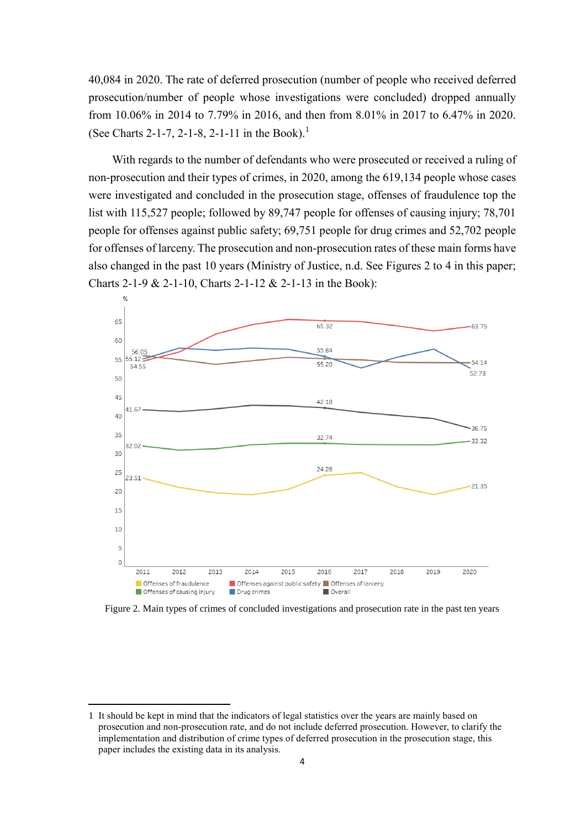40,084 in 2020. The rate of deferred prosecution (number of people who received deferred prosecution/number of people whose investigations were concluded) dropped annually from 10.06% in 2014 to 7.79% in 2016, and then from 8.01% in 2017 to 6.47% in 2020. (See Charts 2-1-7, 2-1-8, 2-1-11 in the Book).<sup>1</sup>

With regards to the number of defendants who were prosecuted or received a ruling of non-prosecution and their types of crimes, in 2020, among the 619,134 people whose cases were investigated and concluded in the prosecution stage, offenses of fraudulence top the list with 115,527 people; followed by 89,747 people for offenses of causing injury; 78,701 people for offenses against public safety; 69,751 people for drug crimes and 52,702 people for offenses of larceny. The prosecution and non-prosecution rates of these main forms have also changed in the past 10 years (Ministry of Justice, n.d. See Figures 2 to 4 in this paper; Charts 2-1-9 & 2-1-10, Charts 2-1-12 & 2-1-13 in the Book):



Figure 2. Main types of crimes of concluded investigations and prosecution rate in the past ten years

-

<sup>1</sup> It should be kept in mind that the indicators of legal statistics over the years are mainly based on prosecution and non-prosecution rate, and do not include deferred prosecution. However, to clarify the implementation and distribution of crime types of deferred prosecution in the prosecution stage, this paper includes the existing data in its analysis.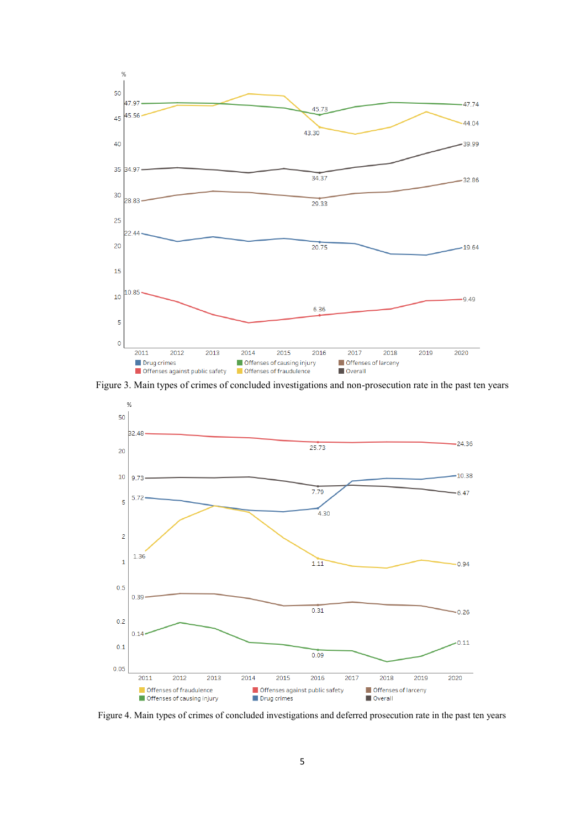

Figure 3. Main types of crimes of concluded investigations and non-prosecution rate in the past ten years



Figure 4. Main types of crimes of concluded investigations and deferred prosecution rate in the past ten years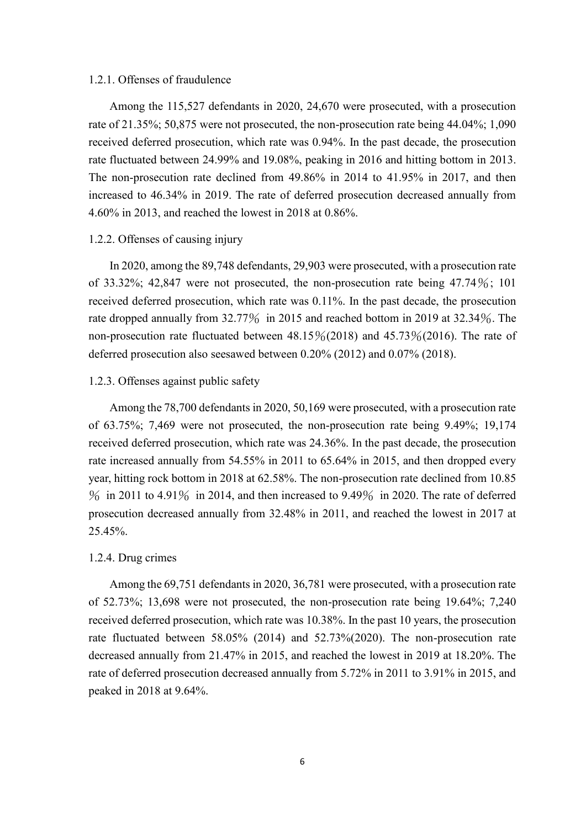### <span id="page-6-0"></span>1.2.1. Offenses of fraudulence

Among the 115,527 defendants in 2020, 24,670 were prosecuted, with a prosecution rate of 21.35%; 50,875 were not prosecuted, the non-prosecution rate being 44.04%; 1,090 received deferred prosecution, which rate was 0.94%. In the past decade, the prosecution rate fluctuated between 24.99% and 19.08%, peaking in 2016 and hitting bottom in 2013. The non-prosecution rate declined from 49.86% in 2014 to 41.95% in 2017, and then increased to 46.34% in 2019. The rate of deferred prosecution decreased annually from 4.60% in 2013, and reached the lowest in 2018 at 0.86%.

## <span id="page-6-1"></span>1.2.2. Offenses of causing injury

In 2020, among the 89,748 defendants, 29,903 were prosecuted, with a prosecution rate of 33.32%; 42,847 were not prosecuted, the non-prosecution rate being  $47.74\%$ ; 101 received deferred prosecution, which rate was 0.11%. In the past decade, the prosecution rate dropped annually from 32.77% in 2015 and reached bottom in 2019 at 32.34%. The non-prosecution rate fluctuated between  $48.15\%(2018)$  and  $45.73\%(2016)$ . The rate of deferred prosecution also seesawed between 0.20% (2012) and 0.07% (2018).

#### <span id="page-6-2"></span>1.2.3. Offenses against public safety

Among the 78,700 defendants in 2020, 50,169 were prosecuted, with a prosecution rate of 63.75%; 7,469 were not prosecuted, the non-prosecution rate being 9.49%; 19,174 received deferred prosecution, which rate was 24.36%. In the past decade, the prosecution rate increased annually from 54.55% in 2011 to 65.64% in 2015, and then dropped every year, hitting rock bottom in 2018 at 62.58%. The non-prosecution rate declined from 10.85  $\%$  in 2011 to 4.91 $\%$  in 2014, and then increased to 9.49 $\%$  in 2020. The rate of deferred prosecution decreased annually from 32.48% in 2011, and reached the lowest in 2017 at 25.45%.

## <span id="page-6-3"></span>1.2.4. Drug crimes

Among the 69,751 defendants in 2020, 36,781 were prosecuted, with a prosecution rate of 52.73%; 13,698 were not prosecuted, the non-prosecution rate being 19.64%; 7,240 received deferred prosecution, which rate was 10.38%. In the past 10 years, the prosecution rate fluctuated between 58.05% (2014) and 52.73%(2020). The non-prosecution rate decreased annually from 21.47% in 2015, and reached the lowest in 2019 at 18.20%. The rate of deferred prosecution decreased annually from 5.72% in 2011 to 3.91% in 2015, and peaked in 2018 at 9.64%.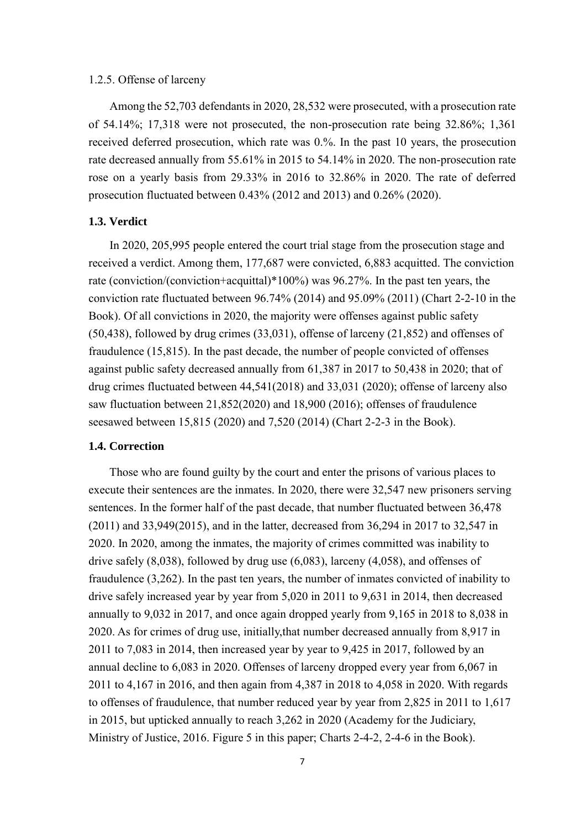## <span id="page-7-0"></span>1.2.5. Offense of larceny

Among the 52,703 defendants in 2020, 28,532 were prosecuted, with a prosecution rate of 54.14%; 17,318 were not prosecuted, the non-prosecution rate being 32.86%; 1,361 received deferred prosecution, which rate was 0.%. In the past 10 years, the prosecution rate decreased annually from 55.61% in 2015 to 54.14% in 2020. The non-prosecution rate rose on a yearly basis from 29.33% in 2016 to 32.86% in 2020. The rate of deferred prosecution fluctuated between 0.43% (2012 and 2013) and 0.26% (2020).

## <span id="page-7-1"></span>**1.3. Verdict**

In 2020, 205,995 people entered the court trial stage from the prosecution stage and received a verdict. Among them, 177,687 were convicted, 6,883 acquitted. The conviction rate (conviction/(conviction+acquittal)\*100%) was 96.27%. In the past ten years, the conviction rate fluctuated between 96.74% (2014) and 95.09% (2011) (Chart 2-2-10 in the Book). Of all convictions in 2020, the majority were offenses against public safety (50,438), followed by drug crimes (33,031), offense of larceny (21,852) and offenses of fraudulence (15,815). In the past decade, the number of people convicted of offenses against public safety decreased annually from 61,387 in 2017 to 50,438 in 2020; that of drug crimes fluctuated between 44,541(2018) and 33,031 (2020); offense of larceny also saw fluctuation between 21,852(2020) and 18,900 (2016); offenses of fraudulence seesawed between 15,815 (2020) and 7,520 (2014) (Chart 2-2-3 in the Book).

# <span id="page-7-2"></span>**1.4. Correction**

Those who are found guilty by the court and enter the prisons of various places to execute their sentences are the inmates. In 2020, there were 32,547 new prisoners serving sentences. In the former half of the past decade, that number fluctuated between 36,478 (2011) and 33,949(2015), and in the latter, decreased from 36,294 in 2017 to 32,547 in 2020. In 2020, among the inmates, the majority of crimes committed was inability to drive safely (8,038), followed by drug use (6,083), larceny (4,058), and offenses of fraudulence (3,262). In the past ten years, the number of inmates convicted of inability to drive safely increased year by year from 5,020 in 2011 to 9,631 in 2014, then decreased annually to 9,032 in 2017, and once again dropped yearly from 9,165 in 2018 to 8,038 in 2020. As for crimes of drug use, initially,that number decreased annually from 8,917 in 2011 to 7,083 in 2014, then increased year by year to 9,425 in 2017, followed by an annual decline to 6,083 in 2020. Offenses of larceny dropped every year from 6,067 in 2011 to 4,167 in 2016, and then again from 4,387 in 2018 to 4,058 in 2020. With regards to offenses of fraudulence, that number reduced year by year from 2,825 in 2011 to 1,617 in 2015, but upticked annually to reach 3,262 in 2020 (Academy for the Judiciary, Ministry of Justice, 2016. Figure 5 in this paper; Charts 2-4-2, 2-4-6 in the Book).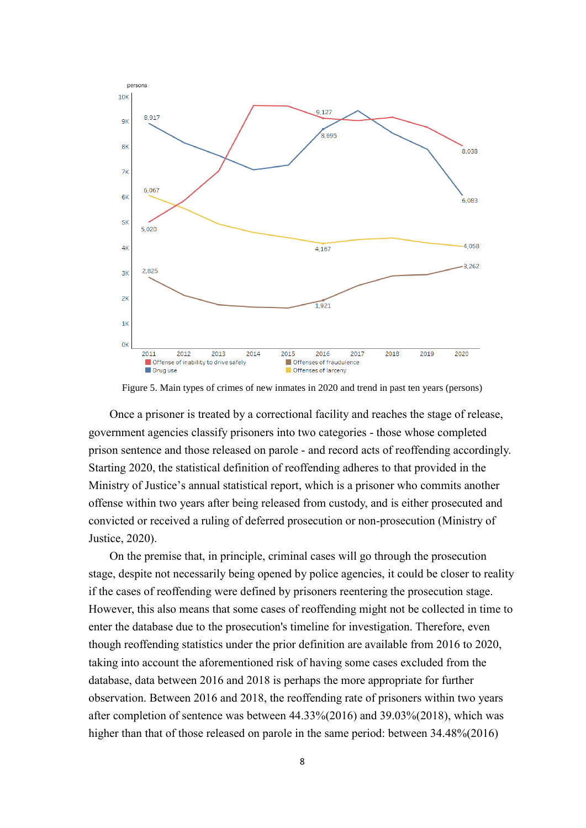

Figure 5. Main types of crimes of new inmates in 2020 and trend in past ten years (persons)

Once a prisoner is treated by a correctional facility and reaches the stage of release, government agencies classify prisoners into two categories - those whose completed prison sentence and those released on parole - and record acts of reoffending accordingly. Starting 2020, the statistical definition of reoffending adheres to that provided in the Ministry of Justice's annual statistical report, which is a prisoner who commits another offense within two years after being released from custody, and is either prosecuted and convicted or received a ruling of deferred prosecution or non-prosecution (Ministry of Justice, 2020).

On the premise that, in principle, criminal cases will go through the prosecution stage, despite not necessarily being opened by police agencies, it could be closer to reality if the cases of reoffending were defined by prisoners reentering the prosecution stage. However, this also means that some cases of reoffending might not be collected in time to enter the database due to the prosecution's timeline for investigation. Therefore, even though reoffending statistics under the prior definition are available from 2016 to 2020, taking into account the aforementioned risk of having some cases excluded from the database, data between 2016 and 2018 is perhaps the more appropriate for further observation. Between 2016 and 2018, the reoffending rate of prisoners within two years after completion of sentence was between 44.33%(2016) and 39.03%(2018), which was higher than that of those released on parole in the same period: between 34.48%(2016)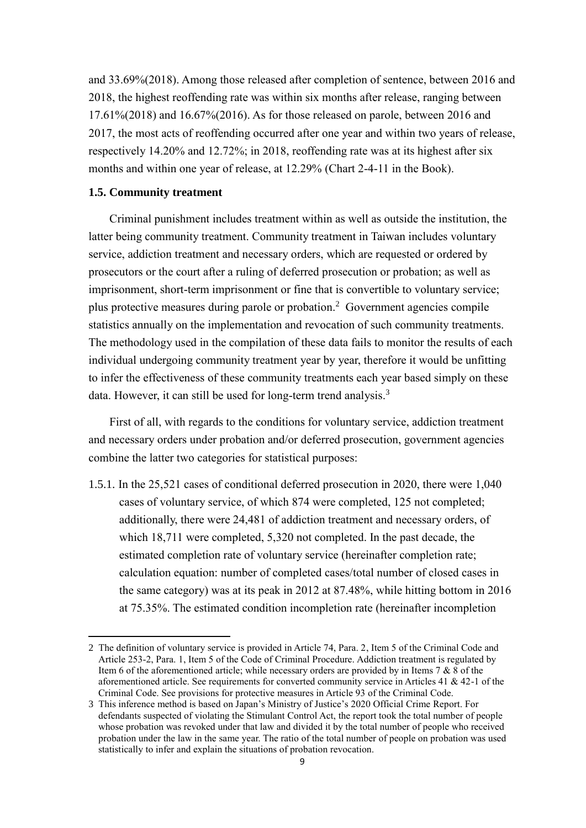and 33.69%(2018). Among those released after completion of sentence, between 2016 and 2018, the highest reoffending rate was within six months after release, ranging between 17.61%(2018) and 16.67%(2016). As for those released on parole, between 2016 and 2017, the most acts of reoffending occurred after one year and within two years of release, respectively 14.20% and 12.72%; in 2018, reoffending rate was at its highest after six months and within one year of release, at 12.29% (Chart 2-4-11 in the Book).

## <span id="page-9-0"></span>**1.5. Community treatment**

-

Criminal punishment includes treatment within as well as outside the institution, the latter being community treatment. Community treatment in Taiwan includes voluntary service, addiction treatment and necessary orders, which are requested or ordered by prosecutors or the court after a ruling of deferred prosecution or probation; as well as imprisonment, short-term imprisonment or fine that is convertible to voluntary service; plus protective measures during parole or probation.<sup>2</sup> Government agencies compile statistics annually on the implementation and revocation of such community treatments. The methodology used in the compilation of these data fails to monitor the results of each individual undergoing community treatment year by year, therefore it would be unfitting to infer the effectiveness of these community treatments each year based simply on these data. However, it can still be used for long-term trend analysis.<sup>3</sup>

First of all, with regards to the conditions for voluntary service, addiction treatment and necessary orders under probation and/or deferred prosecution, government agencies combine the latter two categories for statistical purposes:

1.5.1. In the 25,521 cases of conditional deferred prosecution in 2020, there were 1,040 cases of voluntary service, of which 874 were completed, 125 not completed; additionally, there were 24,481 of addiction treatment and necessary orders, of which 18,711 were completed, 5,320 not completed. In the past decade, the estimated completion rate of voluntary service (hereinafter completion rate; calculation equation: number of completed cases/total number of closed cases in the same category) was at its peak in 2012 at 87.48%, while hitting bottom in 2016 at 75.35%. The estimated condition incompletion rate (hereinafter incompletion

<sup>2</sup> The definition of voluntary service is provided in Article 74, Para. 2, Item 5 of the Criminal Code and Article 253-2, Para. 1, Item 5 of the Code of Criminal Procedure. Addiction treatment is regulated by Item 6 of the aforementioned article; while necessary orders are provided by in Items 7 & 8 of the aforementioned article. See requirements for converted community service in Articles 41 & 42-1 of the Criminal Code. See provisions for protective measures in Article 93 of the Criminal Code.

<sup>3</sup> This inference method is based on Japan's Ministry of Justice's 2020 Official Crime Report. For defendants suspected of violating the Stimulant Control Act, the report took the total number of people whose probation was revoked under that law and divided it by the total number of people who received probation under the law in the same year. The ratio of the total number of people on probation was used statistically to infer and explain the situations of probation revocation.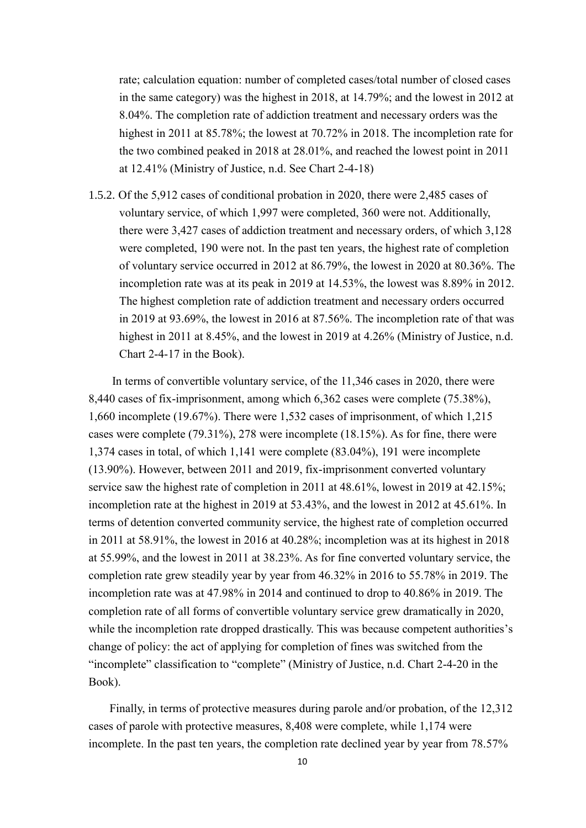rate; calculation equation: number of completed cases/total number of closed cases in the same category) was the highest in 2018, at 14.79%; and the lowest in 2012 at 8.04%. The completion rate of addiction treatment and necessary orders was the highest in 2011 at 85.78%; the lowest at 70.72% in 2018. The incompletion rate for the two combined peaked in 2018 at 28.01%, and reached the lowest point in 2011 at 12.41% (Ministry of Justice, n.d. See Chart 2-4-18)

1.5.2. Of the 5,912 cases of conditional probation in 2020, there were 2,485 cases of voluntary service, of which 1,997 were completed, 360 were not. Additionally, there were 3,427 cases of addiction treatment and necessary orders, of which 3,128 were completed, 190 were not. In the past ten years, the highest rate of completion of voluntary service occurred in 2012 at 86.79%, the lowest in 2020 at 80.36%. The incompletion rate was at its peak in 2019 at 14.53%, the lowest was 8.89% in 2012. The highest completion rate of addiction treatment and necessary orders occurred in 2019 at 93.69%, the lowest in 2016 at 87.56%. The incompletion rate of that was highest in 2011 at 8.45%, and the lowest in 2019 at 4.26% (Ministry of Justice, n.d. Chart 2-4-17 in the Book).

In terms of convertible voluntary service, of the 11,346 cases in 2020, there were 8,440 cases of fix-imprisonment, among which 6,362 cases were complete (75.38%), 1,660 incomplete (19.67%). There were 1,532 cases of imprisonment, of which 1,215 cases were complete (79.31%), 278 were incomplete (18.15%). As for fine, there were 1,374 cases in total, of which 1,141 were complete (83.04%), 191 were incomplete (13.90%). However, between 2011 and 2019, fix-imprisonment converted voluntary service saw the highest rate of completion in 2011 at 48.61%, lowest in 2019 at 42.15%; incompletion rate at the highest in 2019 at 53.43%, and the lowest in 2012 at 45.61%. In terms of detention converted community service, the highest rate of completion occurred in 2011 at 58.91%, the lowest in 2016 at 40.28%; incompletion was at its highest in 2018 at 55.99%, and the lowest in 2011 at 38.23%. As for fine converted voluntary service, the completion rate grew steadily year by year from 46.32% in 2016 to 55.78% in 2019. The incompletion rate was at 47.98% in 2014 and continued to drop to 40.86% in 2019. The completion rate of all forms of convertible voluntary service grew dramatically in 2020, while the incompletion rate dropped drastically. This was because competent authorities's change of policy: the act of applying for completion of fines was switched from the "incomplete" classification to "complete" (Ministry of Justice, n.d. Chart 2-4-20 in the Book).

Finally, in terms of protective measures during parole and/or probation, of the 12,312 cases of parole with protective measures, 8,408 were complete, while 1,174 were incomplete. In the past ten years, the completion rate declined year by year from 78.57%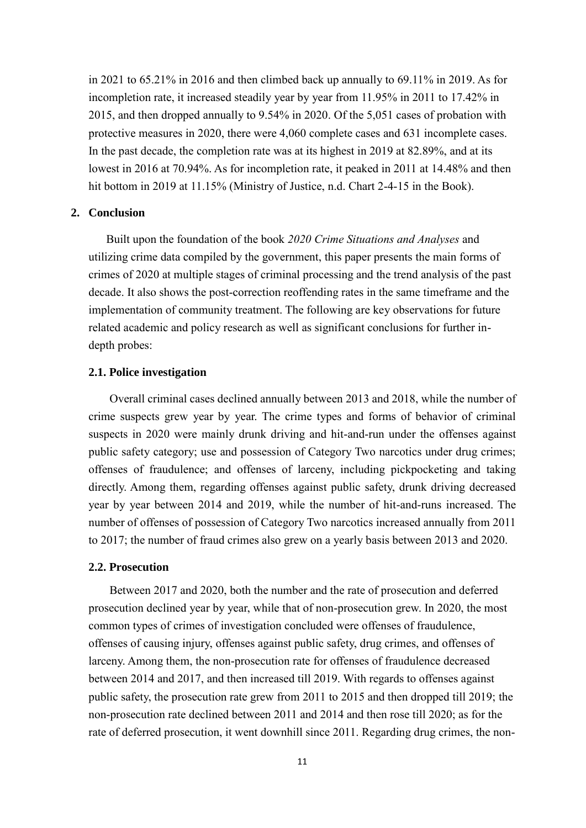in 2021 to 65.21% in 2016 and then climbed back up annually to 69.11% in 2019. As for incompletion rate, it increased steadily year by year from 11.95% in 2011 to 17.42% in 2015, and then dropped annually to 9.54% in 2020. Of the 5,051 cases of probation with protective measures in 2020, there were 4,060 complete cases and 631 incomplete cases. In the past decade, the completion rate was at its highest in 2019 at 82.89%, and at its lowest in 2016 at 70.94%. As for incompletion rate, it peaked in 2011 at 14.48% and then hit bottom in 2019 at 11.15% (Ministry of Justice, n.d. Chart 2-4-15 in the Book).

#### <span id="page-11-0"></span>**2. Conclusion**

Built upon the foundation of the book *2020 Crime Situations and Analyses* and utilizing crime data compiled by the government, this paper presents the main forms of crimes of 2020 at multiple stages of criminal processing and the trend analysis of the past decade. It also shows the post-correction reoffending rates in the same timeframe and the implementation of community treatment. The following are key observations for future related academic and policy research as well as significant conclusions for further indepth probes:

## <span id="page-11-1"></span>**2.1. Police investigation**

Overall criminal cases declined annually between 2013 and 2018, while the number of crime suspects grew year by year. The crime types and forms of behavior of criminal suspects in 2020 were mainly drunk driving and hit-and-run under the offenses against public safety category; use and possession of Category Two narcotics under drug crimes; offenses of fraudulence; and offenses of larceny, including pickpocketing and taking directly. Among them, regarding offenses against public safety, drunk driving decreased year by year between 2014 and 2019, while the number of hit-and-runs increased. The number of offenses of possession of Category Two narcotics increased annually from 2011 to 2017; the number of fraud crimes also grew on a yearly basis between 2013 and 2020.

## <span id="page-11-2"></span>**2.2. Prosecution**

Between 2017 and 2020, both the number and the rate of prosecution and deferred prosecution declined year by year, while that of non-prosecution grew. In 2020, the most common types of crimes of investigation concluded were offenses of fraudulence, offenses of causing injury, offenses against public safety, drug crimes, and offenses of larceny. Among them, the non-prosecution rate for offenses of fraudulence decreased between 2014 and 2017, and then increased till 2019. With regards to offenses against public safety, the prosecution rate grew from 2011 to 2015 and then dropped till 2019; the non-prosecution rate declined between 2011 and 2014 and then rose till 2020; as for the rate of deferred prosecution, it went downhill since 2011. Regarding drug crimes, the non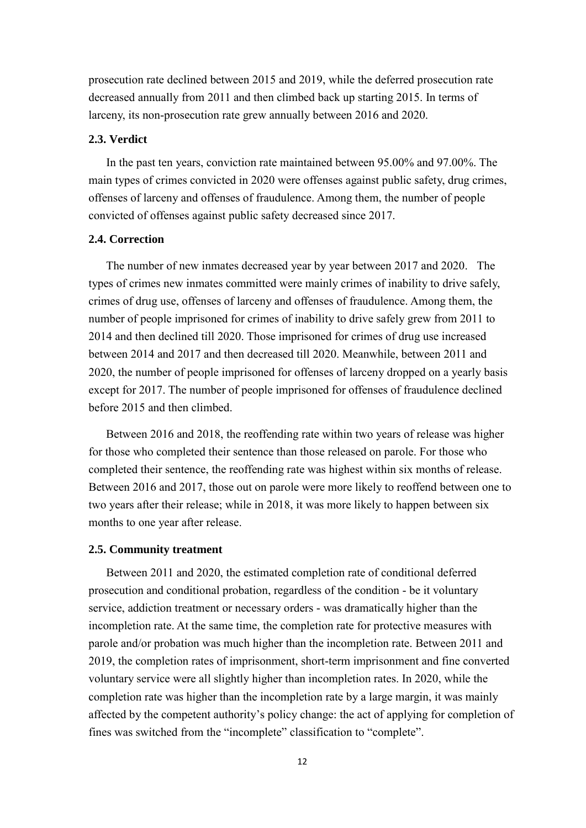prosecution rate declined between 2015 and 2019, while the deferred prosecution rate decreased annually from 2011 and then climbed back up starting 2015. In terms of larceny, its non-prosecution rate grew annually between 2016 and 2020.

## <span id="page-12-0"></span>**2.3. Verdict**

In the past ten years, conviction rate maintained between 95.00% and 97.00%. The main types of crimes convicted in 2020 were offenses against public safety, drug crimes, offenses of larceny and offenses of fraudulence. Among them, the number of people convicted of offenses against public safety decreased since 2017.

# <span id="page-12-1"></span>**2.4. Correction**

The number of new inmates decreased year by year between 2017 and 2020. The types of crimes new inmates committed were mainly crimes of inability to drive safely, crimes of drug use, offenses of larceny and offenses of fraudulence. Among them, the number of people imprisoned for crimes of inability to drive safely grew from 2011 to 2014 and then declined till 2020. Those imprisoned for crimes of drug use increased between 2014 and 2017 and then decreased till 2020. Meanwhile, between 2011 and 2020, the number of people imprisoned for offenses of larceny dropped on a yearly basis except for 2017. The number of people imprisoned for offenses of fraudulence declined before 2015 and then climbed.

Between 2016 and 2018, the reoffending rate within two years of release was higher for those who completed their sentence than those released on parole. For those who completed their sentence, the reoffending rate was highest within six months of release. Between 2016 and 2017, those out on parole were more likely to reoffend between one to two years after their release; while in 2018, it was more likely to happen between six months to one year after release.

#### <span id="page-12-2"></span>**2.5. Community treatment**

Between 2011 and 2020, the estimated completion rate of conditional deferred prosecution and conditional probation, regardless of the condition - be it voluntary service, addiction treatment or necessary orders - was dramatically higher than the incompletion rate. At the same time, the completion rate for protective measures with parole and/or probation was much higher than the incompletion rate. Between 2011 and 2019, the completion rates of imprisonment, short-term imprisonment and fine converted voluntary service were all slightly higher than incompletion rates. In 2020, while the completion rate was higher than the incompletion rate by a large margin, it was mainly affected by the competent authority's policy change: the act of applying for completion of fines was switched from the "incomplete" classification to "complete".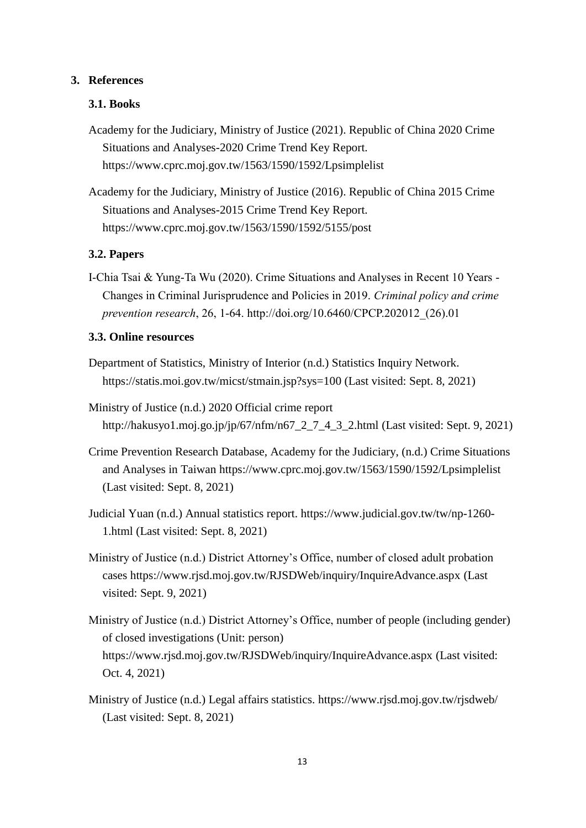## <span id="page-13-0"></span>**3. References**

# <span id="page-13-1"></span>**3.1. Books**

Academy for the Judiciary, Ministry of Justice (2021). Republic of China 2020 Crime Situations and Analyses-2020 Crime Trend Key Report. <https://www.cprc.moj.gov.tw/1563/1590/1592/Lpsimplelist>

Academy for the Judiciary, Ministry of Justice (2016). Republic of China 2015 Crime Situations and Analyses-2015 Crime Trend Key Report. <https://www.cprc.moj.gov.tw/1563/1590/1592/5155/post>

## <span id="page-13-2"></span>**3.2. Papers**

I-Chia Tsai & Yung-Ta Wu (2020). Crime Situations and Analyses in Recent 10 Years - Changes in Criminal Jurisprudence and Policies in 2019. *Criminal policy and crime prevention research*, 26, 1-64. [http://doi.org/10.6460/CPCP.202012\\_\(26\).01](http://doi.org/10.6460/CPCP.202012_(26).01)

## <span id="page-13-3"></span>**3.3. Online resources**

- Department of Statistics, Ministry of Interior (n.d.) Statistics Inquiry Network. <https://statis.moi.gov.tw/micst/stmain.jsp?sys=100> (Last visited: Sept. 8, 2021)
- Ministry of Justice (n.d.) 2020 Official crime report [http://hakusyo1.moj.go.jp/jp/67/nfm/n67\\_2\\_7\\_4\\_3\\_2.html](http://hakusyo1.moj.go.jp/jp/67/nfm/n67_2_7_4_3_2.html) (Last visited: Sept. 9, 2021)
- Crime Prevention Research Database, Academy for the Judiciary, (n.d.) Crime Situations and Analyses in Taiwan<https://www.cprc.moj.gov.tw/1563/1590/1592/Lpsimplelist> (Last visited: Sept. 8, 2021)
- Judicial Yuan (n.d.) Annual statistics report. [https://www.judicial.gov.tw/tw/np-1260-](https://www.judicial.gov.tw/tw/np-1260-1.html) [1.html](https://www.judicial.gov.tw/tw/np-1260-1.html) (Last visited: Sept. 8, 2021)
- Ministry of Justice (n.d.) District Attorney's Office, number of closed adult probation cases<https://www.rjsd.moj.gov.tw/RJSDWeb/inquiry/InquireAdvance.aspx> (Last visited: Sept. 9, 2021)
- Ministry of Justice (n.d.) District Attorney's Office, number of people (including gender) of closed investigations (Unit: person) <https://www.rjsd.moj.gov.tw/RJSDWeb/inquiry/InquireAdvance.aspx> (Last visited: Oct. 4, 2021)
- Ministry of Justice (n.d.) Legal affairs statistics.<https://www.rjsd.moj.gov.tw/rjsdweb/> (Last visited: Sept. 8, 2021)